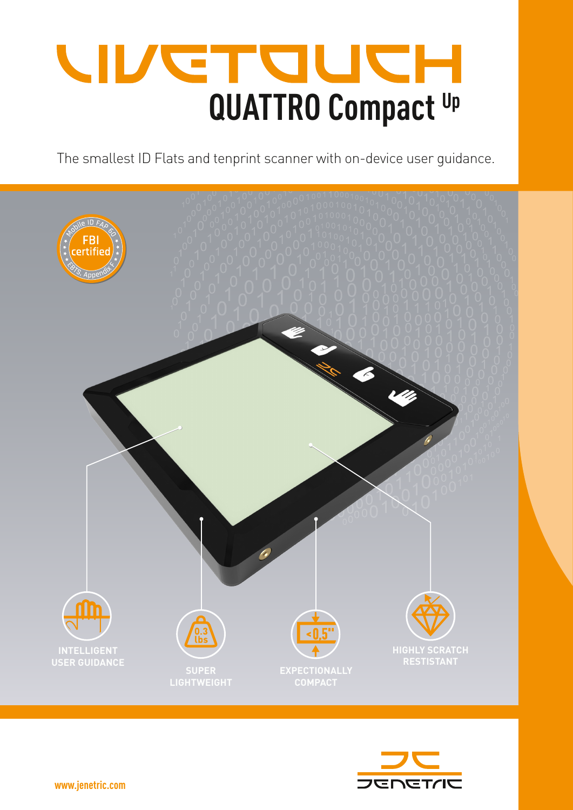## **CINDLET QUATTRO Compact Up**

The smallest ID Flats and tenprint scanner with on-device user guidance.